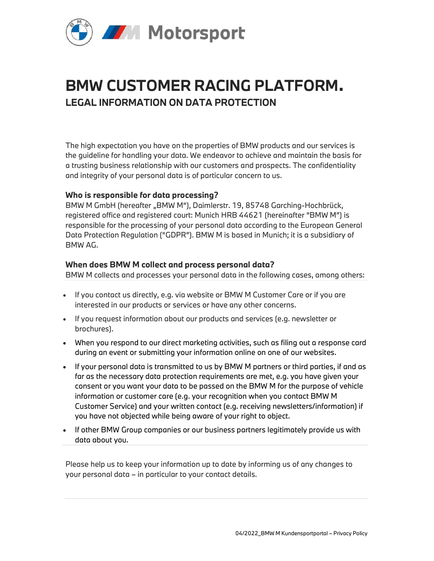

# BMW CUSTOMER RACING PLATFORM. LEGAL INFORMATION ON DATA PROTECTION

The high expectation you have on the properties of BMW products and our services is the guideline for handling your data. We endeavor to achieve and maintain the basis for a trusting business relationship with our customers and prospects. The confidentiality and integrity of your personal data is of particular concern to us.

## Who is responsible for data processing?

BMW M GmbH (hereafter "BMW M"), Daimlerstr. 19, 85748 Garching-Hochbrück, registered office and registered court: Munich HRB 44621 (hereinafter "BMW M") is responsible for the processing of your personal data according to the European General Data Protection Regulation ("GDPR"). BMW M is based in Munich; it is a subsidiary of BMW AG.

## When does BMW M collect and process personal data?

BMW M collects and processes your personal data in the following cases, among others:

- If you contact us directly, e.g. via website or BMW M Customer Care or if you are interested in our products or services or have any other concerns.
- If you request information about our products and services (e.g. newsletter or brochures).
- When you respond to our direct marketing activities, such as filing out a response card during an event or submitting your information online on one of our websites.
- If your personal data is transmitted to us by BMW M partners or third parties, if and as far as the necessary data protection requirements are met, e.g. you have given your consent or you want your data to be passed on the BMW M for the purpose of vehicle information or customer care (e.g. your recognition when you contact BMW M Customer Service) and your written contact (e.g. receiving newsletters/information) if you have not objected while being aware of your right to object.
- If other BMW Group companies or our business partners legitimately provide us with data about you.

Please help us to keep your information up to date by informing us of any changes to your personal data – in particular to your contact details.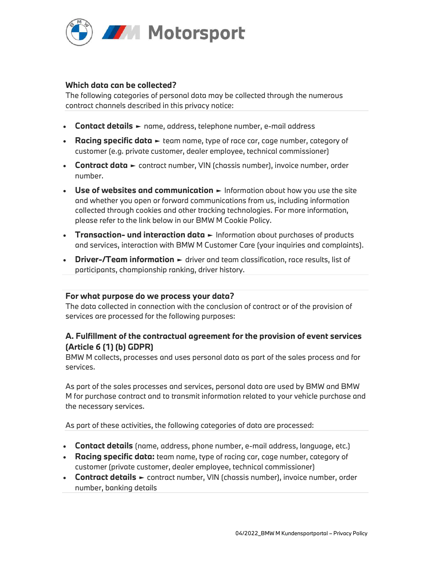

## Which data can be collected?

The following categories of personal data may be collected through the numerous contract channels described in this privacy notice:

- Contact details ► name, address, telephone number, e-mail address
- Racing specific data ► team name, type of race car, cage number, category of customer (e.g. private customer, dealer employee, technical commissioner)
- Contract data ► contract number, VIN (chassis number), invoice number, order number.
- Use of websites and communication ► Information about how you use the site and whether you open or forward communications from us, including information collected through cookies and other tracking technologies. For more information, please refer to the link below in our BMW M Cookie Policy.
- Transaction- und interaction data ► Information about purchases of products and services, interaction with BMW M Customer Care (your inquiries and complaints).
- Driver-/Team information ► driver and team classification, race results, list of participants, championship ranking, driver history.

## For what purpose do we process your data?

The data collected in connection with the conclusion of contract or of the provision of services are processed for the following purposes:

# A. Fulfillment of the contractual agreement for the provision of event services (Article 6 (1) (b) GDPR)

BMW M collects, processes and uses personal data as part of the sales process and for services.

As part of the sales processes and services, personal data are used by BMW and BMW M for purchase contract and to transmit information related to your vehicle purchase and the necessary services.

As part of these activities, the following categories of data are processed:

- Contact details (name, address, phone number, e-mail address, language, etc.)
- Racing specific data: team name, type of racing car, cage number, category of customer (private customer, dealer employee, technical commissioner)
- Contract details ► contract number, VIN (chassis number), invoice number, order number, banking details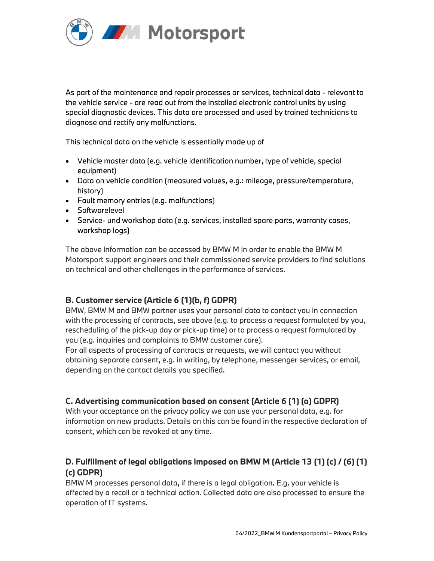

As part of the maintenance and repair processes or services, technical data - relevant to the vehicle service - are read out from the installed electronic control units by using special diagnostic devices. This data are processed and used by trained technicians to diagnose and rectify any malfunctions.

This technical data on the vehicle is essentially made up of

- Vehicle master data (e.g. vehicle identification number, type of vehicle, special equipment)
- Data on vehicle condition (measured values, e.g.: mileage, pressure/temperature, history)
- Fault memory entries (e.g. malfunctions)
- Softwarelevel
- Service- und workshop data (e.g. services, installed spare parts, warranty cases, workshop logs)

The above information can be accessed by BMW M in order to enable the BMW M Motorsport support engineers and their commissioned service providers to find solutions on technical and other challenges in the performance of services.

# B. Customer service (Article 6 (1)(b, f) GDPR)

BMW, BMW M and BMW partner uses your personal data to contact you in connection with the processing of contracts, see above (e.g. to process a request formulated by you, rescheduling of the pick-up day or pick-up time) or to process a request formulated by you (e.g. inquiries and complaints to BMW customer care).

For all aspects of processing of contracts or requests, we will contact you without obtaining separate consent, e.g. in writing, by telephone, messenger services, or email, depending on the contact details you specified.

# C. Advertising communication based on consent (Article 6 (1) (a) GDPR)

With your acceptance on the privacy policy we can use your personal data, e.g. for information on new products. Details on this can be found in the respective declaration of consent, which can be revoked at any time.

# D. Fulfillment of legal obligations imposed on BMW M (Article 13 (1) (c) / (6) (1) (c) GDPR)

BMW M processes personal data, if there is a legal obligation. E.g. your vehicle is affected by a recall or a technical action. Collected data are also processed to ensure the operation of IT systems.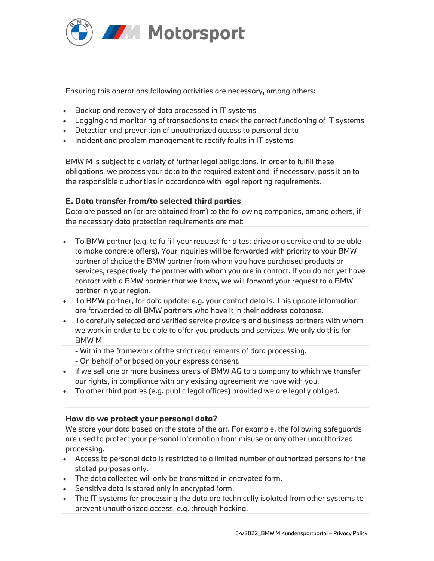

## Ensuring this operations following activities are necessary, among others:

- Backup and recovery of data processed in IT systems
- Logging and monitoring of transactions to check the correct functioning of IT systems
- Detection and prevention of unauthorized access to personal data
- Incident and problem management to rectify faults in IT systems

BMW M is subject to a variety of further legal obligations. In order to fulfill these obligations, we process your data to the required extent and, if necessary, pass it on to the responsible authorities in accordance with legal reporting requirements.

# E. Data transfer from/to selected third parties

Data are passed on (or are obtained from) to the following companies, among others, if the necessary data protection requirements are met:

- To BMW partner (e.g. to fulfill your request for a test drive or a service and to be able to make concrete offers). Your inquiries will be forwarded with priority to your BMW partner of choice the BMW partner from whom you have purchased products or services, respectively the partner with whom you are in contact. If you do not yet have contact with a BMW partner that we know, we will forward your request to a BMW partner in your region.
- To BMW partner, for data update: e.g. your contact details. This update information are forwarded to all BMW partners who have it in their address database.
- To carefully selected and verified service providers and business partners with whom we work in order to be able to offer you products and services. We only do this for BMW M
	- Within the framework of the strict requirements of data processing.
	- On behalf of or based on your express consent.
- If we sell one or more business areas of BMW AG to a company to which we transfer our rights, in compliance with any existing agreement we have with you.
- To other third parties (e.g. public legal offices) provided we are legally obliged.

## How do we protect your personal data?

We store your data based on the state of the art. For example, the following safeguards are used to protect your personal information from misuse or any other unauthorized processing.

- Access to personal data is restricted to a limited number of authorized persons for the stated purposes only.
- The data collected will only be transmitted in encrypted form.
- Sensitive data is stored only in encrypted form.
- The IT systems for processing the data are technically isolated from other systems to prevent unauthorized access, e.g. through hacking.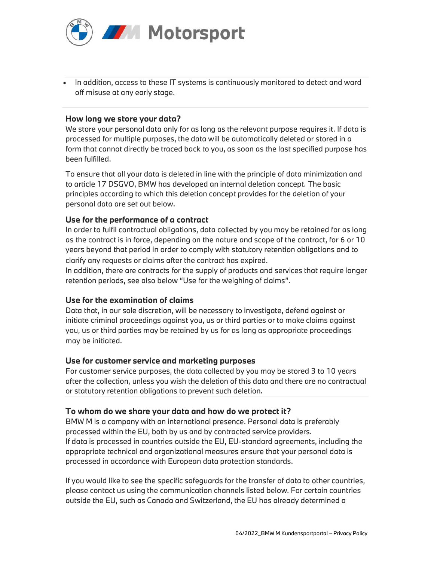

 In addition, access to these IT systems is continuously monitored to detect and ward off misuse at any early stage.

### How long we store your data?

We store your personal data only for as long as the relevant purpose requires it. If data is processed for multiple purposes, the data will be automatically deleted or stored in a form that cannot directly be traced back to you, as soon as the last specified purpose has been fulfilled.

To ensure that all your data is deleted in line with the principle of data minimization and to article 17 DSGVO, BMW has developed an internal deletion concept. The basic principles according to which this deletion concept provides for the deletion of your personal data are set out below.

#### Use for the performance of a contract

In order to fulfil contractual obligations, data collected by you may be retained for as long as the contract is in force, depending on the nature and scope of the contract, for 6 or 10 years beyond that period in order to comply with statutory retention obligations and to clarify any requests or claims after the contract has expired.

In addition, there are contracts for the supply of products and services that require longer retention periods, see also below "Use for the weighing of claims".

#### Use for the examination of claims

Data that, in our sole discretion, will be necessary to investigate, defend against or initiate criminal proceedings against you, us or third parties or to make claims against you, us or third parties may be retained by us for as long as appropriate proceedings may be initiated.

#### Use for customer service and marketing purposes

For customer service purposes, the data collected by you may be stored 3 to 10 years after the collection, unless you wish the deletion of this data and there are no contractual or statutory retention obligations to prevent such deletion.

#### To whom do we share your data and how do we protect it?

BMW M is a company with an international presence. Personal data is preferably processed within the EU, both by us and by contracted service providers. If data is processed in countries outside the EU, EU-standard agreements, including the appropriate technical and organizational measures ensure that your personal data is processed in accordance with European data protection standards.

If you would like to see the specific safeguards for the transfer of data to other countries, please contact us using the communication channels listed below. For certain countries outside the EU, such as Canada and Switzerland, the EU has already determined a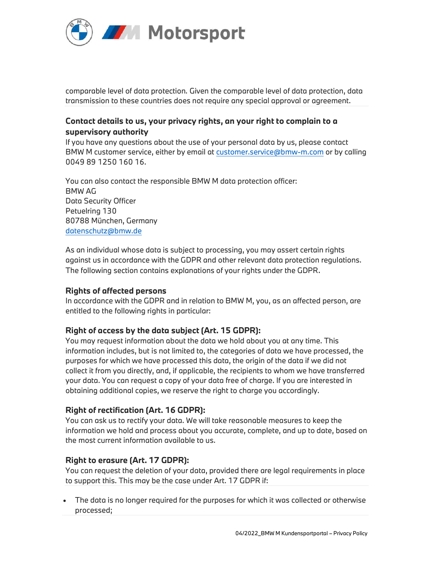

comparable level of data protection. Given the comparable level of data protection, data transmission to these countries does not require any special approval or agreement.

# Contact details to us, your privacy rights, an your right to complain to a supervisory authority

If you have any questions about the use of your personal data by us, please contact BMW M customer service, either by email at customer.service@bmw-m.com or by calling 0049 89 1250 160 16.

You can also contact the responsible BMW M data protection officer: BMW AG Data Security Officer Petuelring 130 80788 München, Germany datenschutz@bmw.de

As an individual whose data is subject to processing, you may assert certain rights against us in accordance with the GDPR and other relevant data protection regulations. The following section contains explanations of your rights under the GDPR.

# Rights of affected persons

In accordance with the GDPR and in relation to BMW M, you, as an affected person, are entitled to the following rights in particular:

# Right of access by the data subject (Art. 15 GDPR):

You may request information about the data we hold about you at any time. This information includes, but is not limited to, the categories of data we have processed, the purposes for which we have processed this data, the origin of the data if we did not collect it from you directly, and, if applicable, the recipients to whom we have transferred your data. You can request a copy of your data free of charge. If you are interested in obtaining additional copies, we reserve the right to charge you accordingly.

# Right of rectification (Art. 16 GDPR):

You can ask us to rectify your data. We will take reasonable measures to keep the information we hold and process about you accurate, complete, and up to date, based on the most current information available to us.

# Right to erasure (Art. 17 GDPR):

You can request the deletion of your data, provided there are legal requirements in place to support this. This may be the case under Art. 17 GDPR if:

 The data is no longer required for the purposes for which it was collected or otherwise processed;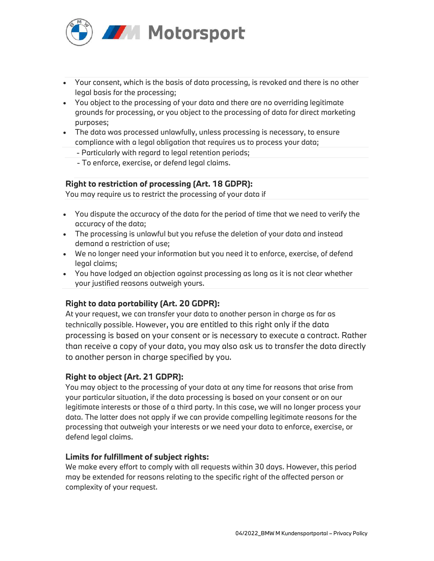

- Your consent, which is the basis of data processing, is revoked and there is no other legal basis for the processing;
- You object to the processing of your data and there are no overriding legitimate grounds for processing, or you object to the processing of data for direct marketing purposes;
- The data was processed unlawfully, unless processing is necessary, to ensure compliance with a legal obligation that requires us to process your data;
	- Particularly with regard to legal retention periods;
	- To enforce, exercise, or defend legal claims.

# Right to restriction of processing (Art. 18 GDPR):

You may require us to restrict the processing of your data if

- You dispute the accuracy of the data for the period of time that we need to verify the accuracy of the data;
- The processing is unlawful but you refuse the deletion of your data and instead demand a restriction of use;
- We no longer need your information but you need it to enforce, exercise, of defend legal claims;
- You have lodged an objection against processing as long as it is not clear whether your justified reasons outweigh yours.

# Right to data portability (Art. 20 GDPR):

At your request, we can transfer your data to another person in charge as far as technically possible. However, you are entitled to this right only if the data processing is based on your consent or is necessary to execute a contract. Rather than receive a copy of your data, you may also ask us to transfer the data directly to another person in charge specified by you.

# Right to object (Art. 21 GDPR):

You may object to the processing of your data at any time for reasons that arise from your particular situation, if the data processing is based on your consent or on our legitimate interests or those of a third party. In this case, we will no longer process your data. The latter does not apply if we can provide compelling legitimate reasons for the processing that outweigh your interests or we need your data to enforce, exercise, or defend legal claims.

## Limits for fulfillment of subject rights:

We make every effort to comply with all requests within 30 days. However, this period may be extended for reasons relating to the specific right of the affected person or complexity of your request.